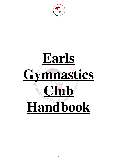

# **Earls Gymnastics Club Handbook**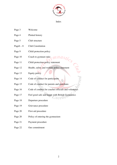

Index

- Page 3 Welcome
- Page 4 Plotted history
- Page 5 Club structure
- Page6 8 Club Constitution
- Page 9 Child protection policy

nasti. Page 10 Coach to gymnast ratio

- Page 11 Child protection policy statement
- Page 12 Health, safety and welfare policy statement
- Page 13 Equity policy
- Page 14 Code of conduct for participants
- Page 15 Code of conduct for parents and guardians
- Page 16 Code of conduct for coaches officials and volunteers
- Page 17 Feel good safe and happy with British Gymnastics
- Page 18 Departure procedure
- Page 19 Grievance procedure
- Page 20 First aid procedure
- Page 20 Policy of entering the gymnasium
- Page 21 Payment procedure
- Page 22 Our commitment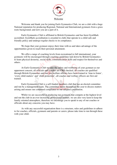

Welcome and thank you for joining Earls Gymnastics Club, we are a club with a huge National reputation for producing Regional, National and International gymnasts from a grass roots background; and now you are a part of it.

Earls Gymnastics Club is affiliated to British Gymnastics and has been GymMark accredited. GymMark accreditation is awarded to clubs that operate to a child safe and friendly policy and undergo regular checks to its compliance.

We hope that your gymnast enjoys their time with us and takes advantage of the opportunities given to reach their personal attainment.

We offer a range of coaching levels from recreational to full international, your gymnasts will be encouraged through coaching guidelines laid down by British Gymnastics to learn physical dexterity, social skills, communication skills and respect for themselves and others.

At Earls Gymnastics Club we take the safety and wellbeing of your gymnast as our uppermost concern, all officials and coaches are CRB checked, all coaches are qualified through British Gymnastics and our two welfare officers have been trained in 'time to listen', 'every child matters' and 'child protection', all coaches and welfare officers are first aid trained.

Earls Gymnastics Club is a self-funded members club that has an elected committee and run by a management team. The committee meets throughout the year to discuss matters arising and ensure our continued compliance to our adopted constitution.

Whilst we are successful in producing top gymnasts that compete at the highest level and run the club in an ever increasing professional manner, we are also very keen to keep the family oriented atmosphere, therefore we encourage you to speak to any of our coaches or officials about any concerns you may have.

As with any successful organisation there is a structure, rules and guidelines to adhere to for coaches, officials, gymnasts and parents or carers; please take time to run through these with your child.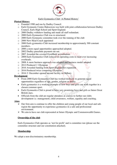

#### Earls Gymnastics Club 'A Plotted History'

#### **Plotted History**

- o Founded 1990 and run by Dudley Council.
- o Earls Gymnastic Centre Halesowen was built with joint collaboration between Dudley Council, Earls High School and Sport England.
- o 2000 Dudley withdrew funding and made all staff redundant.
- o 2000 Earls Gymnastics Club was re-structured.
- o 2000 Earls Gymnastic committee took over the running of the club
- o 2000 New Head Coach appointed
- o 2000 Earls gymnastics Club increased membership to approximately 300 constant members.
- o 2000 a more equal opportunities approached adopted.
- o 2002 Dudley parachute payment ran out.
- o 2007 Awarded the coveted GymMark accreditation.
- o 2008 Earls Gymnastics Club reduced its operating costs to meet ever increasing overheads.
- o 2008 A more business approach was adopted and business model adopted
- $\circ$  2012 Produced 1<sup>st</sup> Olympian
- o 2016 Awarded funding from Sport England for expansion
- o 2016 Produced twice competing Olympian
- $\circ$  2016 2<sup>nd</sup> December opened second facility in Oldbury

#### **Development**

- From 2000 Earls Gymnastics Club has worked tirelessly to generate equal opportunities regardless of age, gender, religion or ability.
- Earls gymnastics is a working example of how boys and girls can work together in a chosen common sport.
- Earls Gymnastics Club is proud to have very promising boys and girls as future Great British stars.
- Officials from the club are regular attendees at courses to further our clubs development i.e. management, child awareness, welfare, equality and coaching.

#### **Aims**

- $\triangleright$  Our firm aim is continue to offer the children and young people of our local and subregion the opportunity to experience gymnastics in a safe and professional environment.
- $\triangleright$  We aim to have our club represented at future Olympic and Commonwealth Games.

#### **Ownership of the club**

Earls Gymnastics Club operates as 'not for profit' and is committee run (please see the committee structure and our constitution attached).

#### **Membership**

We adopt a non-discriminatory membership.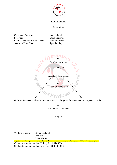

#### **Club structure**

#### **Committee**

Chairman/Treasurer Jon Caulwell Secretary Sonia Caulwell Club Manager and Head Coach Michelle Baker Assistant Head Coach Ryan Bradley



Welfare officers: Sonia Caulwell Yun Jia Dave Harper *Regular updates kept on the notice boards Halesowen or Oldbury for changes or additional welfare officers* Contact telephone number Oldbury 0121 544 4004

Contact telephone number Halesowen 01384 818350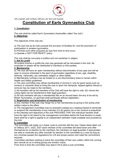

All coaches and welfare officers are first aid trained.

## **Constitution of Earls Gymnastics Club**

#### **1. Constitution**

The club shall be called Earl's Gymnastics (hereinafter called "the club") **2. Objectives**

The objectives of the club are;

a) The club has as its main purpose the provision of facilities for, and the promotion of participation in amateur gymnastics.

b) Promote such other purposes as may from time to time occur.

c) Operate a 'NOT FOR PROFIT' policy

The club shall be non-party in politics and non-sectarian in religion.

#### **3. Not for profit**

All surplus income or profits the club may generate will be reinvested in the club. No surpluses or assets will be distributed to members or third parties.

#### **4. Membership**

a) The club will have an open membership without discrimination of any type and will be open to anyone interested in the sport of gymnastics regardless of sex, age, disability, ethnicity, nationality, sex orientation religion or other beliefs.

b) Membership numbers may be limited on a non-discriminatory basis to remain within Health and Safety guidelines

c) The club committee may refuse membership or remove it, only for good cause such as conduct or character likely to bring the club or sport into disrepute. Appeal against refusal or removal may be made to the members.

c) All members will be full members of the Club will have the right to vote, (for minors the voting rights can be transferred to their legal guardian)

d) All club members will pay a membership fee on an annual basis: the levy to be set by British Gymnastics, no gymnast shall participate without registration.

#### **5. Registration and termination of membership**

a) Any member of the club may resign his or her membership by giving to the acting chair written notice to the effect.

b) The management committee may by resolution passed at a meeting thereof to terminate or suspend the membership of any member if in its opinion his or her conduct is prejudicial to the interests and objectives of the club PROVIDED THAT the individual member shall have the right to be heard by the management committee before the final decision is made, there shall be a right to appeal to an independent arbitrator made available and provided by the club.

#### **6. Committee**

The committee will resign on a 5year cycle to coincide with the new 10year lease taken out at Oldbury 2017, 2022, 2027 each member of the committee will stand down and offer themselves for re-election by the members, the members (or legal guardian if appropriate) are able to nominate any other member for election to the committee by a vote as long as any nominee passes the regulations for a fit and proper person and meet the commitment required.

Committee members wishing to leave the committee of their own volition within the running term should do so in writing giving one months' notice.

From time to time the committee may deem it fit to elect a sub-committee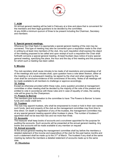

#### **7. AGM**

An annual general meeting will be held in February at a time and place that is convenient for the members and their legal guardians to be decided by the committee. At any AGM a minimum quorum of three to be present including the Chairman, Secretary and members

#### **8. Special general meetings.**

Whenever the Chair feels it is appropriate a special general meeting of the club may be convened. This type of meeting may also be convened upon a requisition made to the chair in writing by at least nine members of the club. Any such requisition shall express the object of the meeting proposed to be called and upon receipt of such a requisition the Chair shall forthwith convene a special general meeting. At least fourteen days notice of every special general meeting, specifying the place, the hour and the day of the meeting and the purpose for which such a meeting has been called.

#### **9. Minutes**

The club secretary shall cause minutes to be made of all resolutions and proceedings of all of the meetings and such minutes shall, upon question have a vote taken thereon, either at the meeting or at a subsequent meeting, be signed by the chair and when signed by the chair shall be conclusive evidence of the correctness of the entry. Notes of all meetings will be made available to all members to challenge or approve accordingly.

#### **10. Voting**

Except as otherwise provided within these rules, every question provided at management committee or other meeting shall be decided by the majority of the vote of the present and entitled to vote in accordance with these rules and in case of equality of votes, the casting vote will be given by the Chairperson.

#### **11. Powers to Borrow**

The members give authorisation to the committee to have 'The Powers to Borrow' to loans funds and create credit term.

#### **12. Trustees**

The club may appoint trustees, who shall be empowered to invest or hold in their own names such funds, land and property of the club as the management committee may from time to time direct. On death or registration of any of the trustees, the management committee may at any special general meeting appoint other trustees in place. The number of trustees if appointed shall not be less than two and not more than three.

#### **13. Accounts**

The treasurer shall keep books of accounts and a scrutineer appointed for the purpose for auditing the accounts. Such accounts will be presented at the annual general meeting. Any books and accounts will be made available to any member on request

#### **14. Annual accounts**

At the annual general meeting the management committee shall lay before the members a detailed statement of the income and expenditure of the club for the past twelve months and such a statement shall be made up to the 31<sup>st</sup> of March. The trustees if any shall at the same meeting lay before the members a detailed statement of accounts made up to the same date.

#### **15. Dissolution**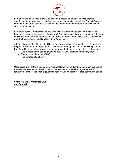

If, at any General Meeting of the Organisation, a resolution be passed calling for the dissolution of the Organisation, the Secretary shall immediately convene a Special General Meeting of the Organisation to be held not less than one month thereafter to discuss and vote on the resolution.

If, at that Special General Meeting, the resolution is carried by at least two-thirds of the Full Members present at the meeting, the General Committee shall thereupon, or at such date as shall have been specified in the resolution, proceed to realise the assets of the Organisation and discharge all debts and liabilities of the Organisation.

After discharging all debts and liabilities of the Organisation, the remaining assets shall not be paid or distributed amongst the Full Members of the Organisation, but shall be given or transferred to some other approved sporting or charitable purpose, and this is defined as,

- The purpose of the sports governing body for use in related community sport.
- The purpose of another CASC,
- The purpose of a charity.

Upon dissolution of the club any remaining assets will not be distributed or otherwise shared between the members of the club, but will be transferred to another registered CASC, a registered charity or the sport's governing body for use by them in related community sports.

**Chair of Earls Gymnastics Club Jon Caulwell**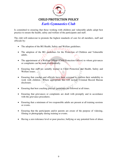

## **CHILD PROTECTION POLICY**

*Earls Gymnastics Club*

Is committed to ensuring that those working with children and vulnerable adults adopt best practice to ensure the health, safety and welfare of the participants and staff.

The club will endeavour to promote the highest standards of care for all members, staff and officials by:

- The adoption of the BG Health, Safety and Welfare guidelines.
- The adoption of the BG guidelines for the Protection of Children and Vulnerable adults.
- The appointment of a Welfare Officer (Child Protection Officer) to whom grievances or complaints can be made confidentially.
- Ensuring that staff are suitably trained in Child Protection and Health, Safety and Welfare issues.
- Ensuring that coaches and officials have been screened to confirm their suitability to work with children. Where appropriate this will include Criminal Record Bureau disclosure.
- Ensuring that best coaching practice guidelines are followed at all times.
- Ensuring that grievances or complaints are dealt with promptly and in accordance with the grievance procedures.
- Ensuring that a minimum of two responsible adults are present at all training sessions or events.
- Ensuring that the participants and/or parents are aware of the purpose of videoing, filming or photography during training or events.
- Having a zero tolerance level or poor practice, bullying or any potential form of abuse.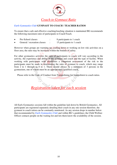

#### *Earls Gymnastics Club* **GYMNAST TO COACH / TEACHER RATIOS**

To ensure that a safe and effective coaching/teaching situation is maintained BG recommends the following maximum ratio of participants to Coach/Teach.

- Pre-School classes : 8 participants to 1 coach
- General / recreation classes : 15 participants to 1 coach

However when groups are warming up, cooling down or working on low risk activities on a floor area, the ratio may be increased within the bounds of safety.

For other gymnastics activities the ratio of participants to coach will vary according to the activity, the experience and ability of the gymnast and coach and the type of facility. When working with participants with disabilities a competent assessment of the risk to the participants must be made in determining the ratio of gymnast to coach, which may range from 2 to 1 through to 8 to 1. There should always be a minimum of 3 persons in the gymnasium, one of whom must be an appropriately qualified coach.

Please refer to the Code of Conduct from Trampolining for trampolinist to coach ratios.

*Registration taken for each session*

All Earls Gymnastics sessions fall within the guideline laid down by British Gymnastics. All participants are registered separately detailing their coach in any one session therefore, the gymnast to coach ration can be constantly monitored. As any session drops in number below that recommended by *Earls Gymnastics Club* and within BG's guidelines; the Child Welfare Officer contacts people on the waiting list and lets them know the availability of the session.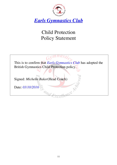

# Child Protection Policy Statement

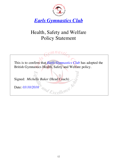

# Health, Safety and Welfare Policy Statement

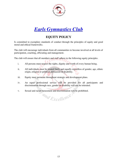![](_page_12_Picture_0.jpeg)

## **EQUITY POLICY**

Is committed to exemplary standards of conduct through the principles of equity and good moral and ethical frameworks.

The club will encourage individuals from all communities to become involved at all levels of participation, coaching, officiating and management.

The club will ensure that all members and staff adhere to the following equity principles.

- i. All persons must respect the rights, dignity and worth of every human being.
- ii. All individuals must be treated fairly and equally regardless of gender, age, ethnic origin, religion or political persuasion or disability.
- iii. Equity must permeate throughout strategic and development plans.
- iv. An equal professional service will be provided for all participants and discrimination through race, gender or disability will not be tolerated.
- v. Sexual and racial harassment and discrimination will be prohibited.

and Excellence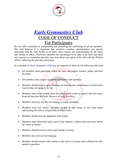![](_page_13_Picture_0.jpeg)

## *Earls Gymnastics Club* CODE OF CONDUCT For Participants

We are fully committed to safeguarding and promoting the well-being of all our members. The club believes it is important that members, coaches, administrators and parents associated with the club should, at all times, show respect and understanding for the safety and welfare of others. Therefore, members are encouraged to be open at all times and share any concerns or complaints that they may have about any aspect of the club with the Welfare officer, following the grievance procedure .

As a member of *Earls Gymnastics Club* you are expected to abide by the following club rules:

- All members must participate within the rules and respect coaches, judges and their decisions.
- All members must respect opponents and fellow club members.
- Members should keep to agreed timings for training and competitions or inform their coach if they are going to be late.
- Members must wear suitable attire for training and events as agreed with the coach. Keep all long hair tied back. Remove all body jewellery.
- Members must pay any fees for training or events promptly.
- Members must not smoke, consume alcohol or take drugs of any kind whilst representing the club at competitions or other events.
- Members should treat all equipment with respect.
- Members must inform the head coach of any injuries or illness they may have before the warm-up begins.
- Members should not eat or chew gum during a session.
- Members must not use bad language.
- Members should remain with coaches at the end of a session until collected by their parent or guardian.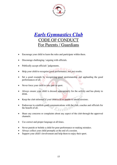![](_page_14_Picture_0.jpeg)

## *Earls Gymnastics Club* )DE OF CONI For Parents / Guardians

- Encourage your child to learn the rules and participate within them.
- Discourage challenging / arguing with officials.
- Publically accept officials' judgements.
- nu ez Help your child to recognise good performance, not just results.
- Set a good example by recognising good sportsmanship and applauding the good performances of all.
- Never force your child to take part in sport.
- Always ensure your child is dressed appropriately for the activity and has plenty to drink.
- Keep the club informed if your child is ill or unable to attend sessions.
- Endeavour to establish good communications with the club, coaches and officials for rcellen the benefit of all.
- Share any concerns or complaints about any aspect of the club through the approved channels.
- Use correct and proper language at all times.
- Never punish or belittle a child for poor performance or making mistakes.
- Always collect your child promptly at the end of a session.
- Support your child's involvement and help them to enjoy their sport.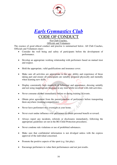![](_page_15_Picture_0.jpeg)

![](_page_15_Picture_1.jpeg)

For Club Coaches, Officials and Volunteers

The essence of good ethical conduct and practise is summarised below. All Club Coaches, Officials and Volunteers must:-

- Consider the well being and safety of participants before the development of performance.
- Develop an appropriate working relationship with performers based on mutual trust and respect.
- Hold the appropriate, valid qualifications and insurance cover.
- Make sure all activities are appropriate to the age, ability and experience of those taking part and ensure all participants are suitably prepared physically and mentally when learning new skills.
- Display consistently high standards of behaviour and appearance, dressing suitably and not using inappropriate language at any time whilst involved with club activities.
- Never consume alcohol immediately before or during training or events.
- Obtain prior agreement from the parent/guardian of performers before transporting them anywhere (training/competitions).
- Never have performers stay overnight at your home.
- Never exert undue influence over performers to obtain personal benefit or reward.
- Always report any incidents, referrals or disclosures immediately, following the appropriate guidelines set out in the BG Child Protection procedures.
- Never condone rule violations or use of prohibited substances.
- Make sure that confidential information is not divulged unless with the express approval of the individual concerned.
- Promote the positive aspects of the sport (e.g. fair play).
- Encourage performers to value their performances and not just results.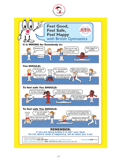![](_page_16_Picture_0.jpeg)

![](_page_16_Picture_1.jpeg)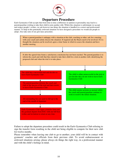![](_page_17_Picture_0.jpeg)

## **Departure Procedure**

Earls Gymnastics Club accepts that from time to time a difference in opinion or personality may lead to a parent/guardian wishing to take their child to join another club. Whilst this situation is unfortunate we accept and respect people's wishes, we ask however one thing; the situation is handled in a correct and professional manner. To help in this potentially awkward situation we have designed a procedure we would ask people to adopt. Also take note of our grievance procedure.

![](_page_17_Figure_3.jpeg)

Failure to adopt the departure procedure could result in the Earls Gymnastics Club refusing to sign the transfer form resulting in the child not being eligible to compete for their new club for twelve months.

Please remember when leaving one club to go to another; your child will be in contact with gymnasts' coaches and officials from their previous club. To avoid embarrassment or awkward situations arising; please always do things the right way, in a professional manner and with the child's feelings in mind.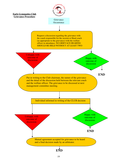![](_page_18_Figure_0.jpeg)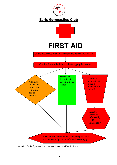![](_page_19_Picture_0.jpeg)

![](_page_19_Figure_2.jpeg)

# **FIRST AID**

On the occurrence of an injury inform the nearest EGC coach

Coach will asses the injury and take appropriate action

![](_page_19_Figure_6.jpeg)

**\*** ALL Earls Gymnastics coaches have qualified in first aid.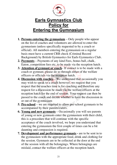![](_page_20_Picture_0.jpeg)

## **Earls Gymnastics Club Policy for Entering the Gymnasium**

- **1. Persons entering the gymnasium** Only people who appear on the list of coaches and volunteers are allowed to enter the gymnasium (unless specifically requested to by a coach or official). All members entering the gymnasium on a regular basis must have a current CRB check (Criminal Record Background) by British Gymnastics for Earls Gymnastics Club.
- **2. Payments** Payments of any kind Fees, bonus ball, chalk, Eaton, competition fees etc, to be made via the reception hatch.
- **3. Attention of gymnast or coach** If contact is to be made with a coach or gymnast, please do so through either of the welfare officers or officials via the reception hatch.
- **4. Discussion with coaches** We understand that occasionally you may wish to speak to a coach however, we request that you respect that the coaches time is for coaching and therefore any request for a discussion be made via the welfare officers at the reception hatch for the end of session. Your request can then be passed to the coach and decide whether to have the discussion in or out of the gymnasium
- **5. Pre-school** we are required to allow pre-school gymnasts to be accompanied by their parents/carers.
- **6. Young and new gymnasts** Occasionally you will see parents of young or new gymnasts enter the gymnasium with their child, this is a procedure that will continue with the specific acceptance of the coach involved, we hope you understand that entering the gymnasium the first couple of times can be a bit daunting and compassion is required.
- **7. Development and performance gymnasts -** are to be sent in to the gymnasium with the appropriate food, drink and clothing for the session. Gymnasts are to be collected at the door at the end of the session with all the belongings. Where belongings are mislaid, contact the welfare officers at the reception hatch.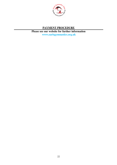![](_page_21_Picture_0.jpeg)

### **PAYMENT PROCEDURE**

**Please see our website for further information www.earlsgymnastics.org.uk**